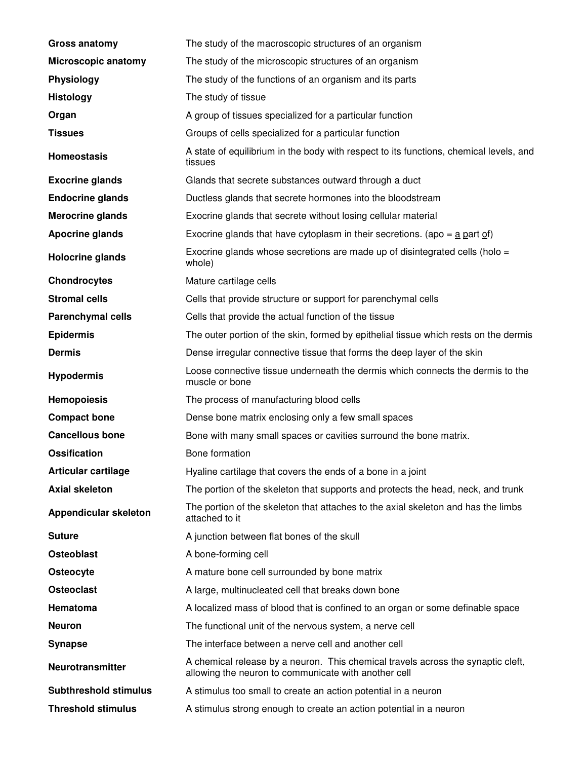| <b>Gross anatomy</b>         | The study of the macroscopic structures of an organism                                                                                   |
|------------------------------|------------------------------------------------------------------------------------------------------------------------------------------|
| Microscopic anatomy          | The study of the microscopic structures of an organism                                                                                   |
| <b>Physiology</b>            | The study of the functions of an organism and its parts                                                                                  |
| <b>Histology</b>             | The study of tissue                                                                                                                      |
| Organ                        | A group of tissues specialized for a particular function                                                                                 |
| <b>Tissues</b>               | Groups of cells specialized for a particular function                                                                                    |
| <b>Homeostasis</b>           | A state of equilibrium in the body with respect to its functions, chemical levels, and<br>tissues                                        |
| <b>Exocrine glands</b>       | Glands that secrete substances outward through a duct                                                                                    |
| <b>Endocrine glands</b>      | Ductless glands that secrete hormones into the bloodstream                                                                               |
| <b>Merocrine glands</b>      | Exocrine glands that secrete without losing cellular material                                                                            |
| <b>Apocrine glands</b>       | Exocrine glands that have cytoplasm in their secretions. (apo = $\underline{a}$ part of)                                                 |
| Holocrine glands             | Exocrine glands whose secretions are made up of disintegrated cells (holo =<br>whole)                                                    |
| <b>Chondrocytes</b>          | Mature cartilage cells                                                                                                                   |
| <b>Stromal cells</b>         | Cells that provide structure or support for parenchymal cells                                                                            |
| <b>Parenchymal cells</b>     | Cells that provide the actual function of the tissue                                                                                     |
| <b>Epidermis</b>             | The outer portion of the skin, formed by epithelial tissue which rests on the dermis                                                     |
| <b>Dermis</b>                | Dense irregular connective tissue that forms the deep layer of the skin                                                                  |
| <b>Hypodermis</b>            | Loose connective tissue underneath the dermis which connects the dermis to the<br>muscle or bone                                         |
| <b>Hemopoiesis</b>           | The process of manufacturing blood cells                                                                                                 |
| <b>Compact bone</b>          | Dense bone matrix enclosing only a few small spaces                                                                                      |
| <b>Cancellous bone</b>       | Bone with many small spaces or cavities surround the bone matrix.                                                                        |
| <b>Ossification</b>          | Bone formation                                                                                                                           |
| Articular cartilage          | Hyaline cartilage that covers the ends of a bone in a joint                                                                              |
| <b>Axial skeleton</b>        | The portion of the skeleton that supports and protects the head, neck, and trunk                                                         |
| <b>Appendicular skeleton</b> | The portion of the skeleton that attaches to the axial skeleton and has the limbs<br>attached to it                                      |
| <b>Suture</b>                | A junction between flat bones of the skull                                                                                               |
| <b>Osteoblast</b>            | A bone-forming cell                                                                                                                      |
| Osteocyte                    | A mature bone cell surrounded by bone matrix                                                                                             |
| <b>Osteoclast</b>            | A large, multinucleated cell that breaks down bone                                                                                       |
| Hematoma                     | A localized mass of blood that is confined to an organ or some definable space                                                           |
| <b>Neuron</b>                | The functional unit of the nervous system, a nerve cell                                                                                  |
| <b>Synapse</b>               | The interface between a nerve cell and another cell                                                                                      |
| <b>Neurotransmitter</b>      | A chemical release by a neuron. This chemical travels across the synaptic cleft,<br>allowing the neuron to communicate with another cell |
| <b>Subthreshold stimulus</b> | A stimulus too small to create an action potential in a neuron                                                                           |
| <b>Threshold stimulus</b>    | A stimulus strong enough to create an action potential in a neuron                                                                       |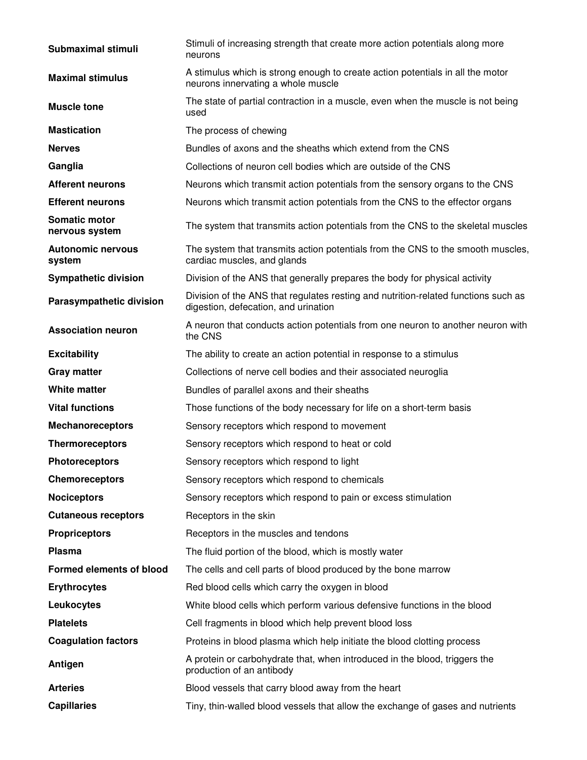| Submaximal stimuli                     | Stimuli of increasing strength that create more action potentials along more<br>neurons                                    |
|----------------------------------------|----------------------------------------------------------------------------------------------------------------------------|
| <b>Maximal stimulus</b>                | A stimulus which is strong enough to create action potentials in all the motor<br>neurons innervating a whole muscle       |
| <b>Muscle tone</b>                     | The state of partial contraction in a muscle, even when the muscle is not being<br>used                                    |
| <b>Mastication</b>                     | The process of chewing                                                                                                     |
| <b>Nerves</b>                          | Bundles of axons and the sheaths which extend from the CNS                                                                 |
| Ganglia                                | Collections of neuron cell bodies which are outside of the CNS                                                             |
| <b>Afferent neurons</b>                | Neurons which transmit action potentials from the sensory organs to the CNS                                                |
| <b>Efferent neurons</b>                | Neurons which transmit action potentials from the CNS to the effector organs                                               |
| <b>Somatic motor</b><br>nervous system | The system that transmits action potentials from the CNS to the skeletal muscles                                           |
| <b>Autonomic nervous</b><br>system     | The system that transmits action potentials from the CNS to the smooth muscles,<br>cardiac muscles, and glands             |
| <b>Sympathetic division</b>            | Division of the ANS that generally prepares the body for physical activity                                                 |
| Parasympathetic division               | Division of the ANS that regulates resting and nutrition-related functions such as<br>digestion, defecation, and urination |
| <b>Association neuron</b>              | A neuron that conducts action potentials from one neuron to another neuron with<br>the CNS                                 |
| <b>Excitability</b>                    | The ability to create an action potential in response to a stimulus                                                        |
| <b>Gray matter</b>                     | Collections of nerve cell bodies and their associated neuroglia                                                            |
| White matter                           | Bundles of parallel axons and their sheaths                                                                                |
| <b>Vital functions</b>                 | Those functions of the body necessary for life on a short-term basis                                                       |
| <b>Mechanoreceptors</b>                | Sensory receptors which respond to movement                                                                                |
| <b>Thermoreceptors</b>                 | Sensory receptors which respond to heat or cold                                                                            |
| <b>Photoreceptors</b>                  | Sensory receptors which respond to light                                                                                   |
| <b>Chemoreceptors</b>                  | Sensory receptors which respond to chemicals                                                                               |
| <b>Nociceptors</b>                     | Sensory receptors which respond to pain or excess stimulation                                                              |
| <b>Cutaneous receptors</b>             | Receptors in the skin                                                                                                      |
| <b>Propriceptors</b>                   | Receptors in the muscles and tendons                                                                                       |
| <b>Plasma</b>                          | The fluid portion of the blood, which is mostly water                                                                      |
| <b>Formed elements of blood</b>        | The cells and cell parts of blood produced by the bone marrow                                                              |
| <b>Erythrocytes</b>                    | Red blood cells which carry the oxygen in blood                                                                            |
| Leukocytes                             | White blood cells which perform various defensive functions in the blood                                                   |
| <b>Platelets</b>                       | Cell fragments in blood which help prevent blood loss                                                                      |
| <b>Coagulation factors</b>             | Proteins in blood plasma which help initiate the blood clotting process                                                    |
| Antigen                                | A protein or carbohydrate that, when introduced in the blood, triggers the<br>production of an antibody                    |
| <b>Arteries</b>                        | Blood vessels that carry blood away from the heart                                                                         |
| <b>Capillaries</b>                     | Tiny, thin-walled blood vessels that allow the exchange of gases and nutrients                                             |